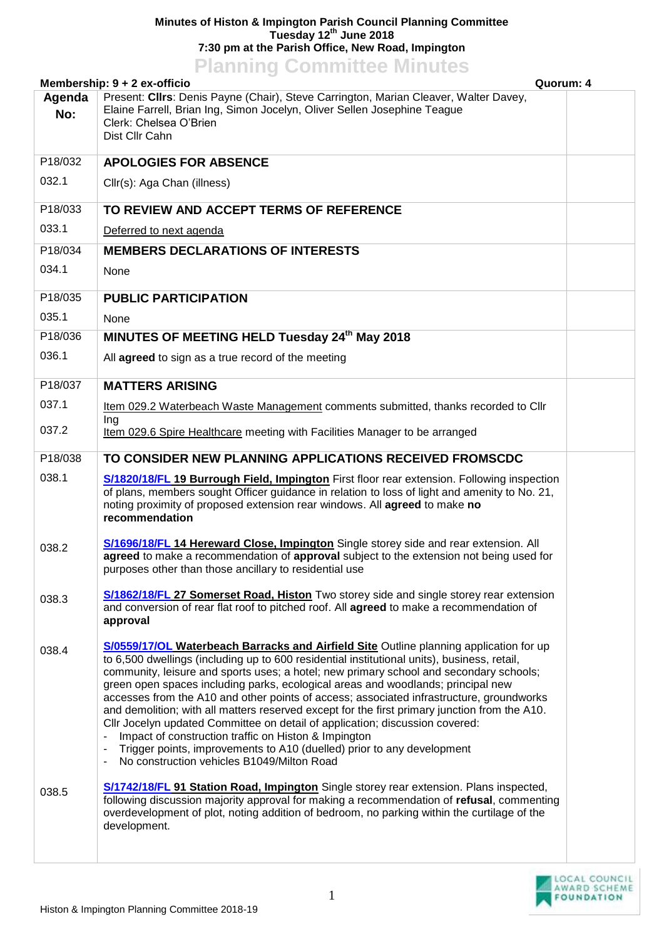## **Minutes of Histon & Impington Parish Council Planning Committee Tuesday 12th June 2018 7:30 pm at the Parish Office, New Road, Impington Planning Committee Minutes**

| <u>I KIIIIIII SUUTIIIIIII SUUTII KUU</u><br>Quorum: 4<br>Membership: 9 + 2 ex-officio |                                                                                                                                                                                                                                                                                                                                                                                                                                                                                                                                                                                                                                                                                                                                                                                                                                         |  |  |  |
|---------------------------------------------------------------------------------------|-----------------------------------------------------------------------------------------------------------------------------------------------------------------------------------------------------------------------------------------------------------------------------------------------------------------------------------------------------------------------------------------------------------------------------------------------------------------------------------------------------------------------------------------------------------------------------------------------------------------------------------------------------------------------------------------------------------------------------------------------------------------------------------------------------------------------------------------|--|--|--|
| Agenda<br>No:                                                                         | Present: Cllrs: Denis Payne (Chair), Steve Carrington, Marian Cleaver, Walter Davey,<br>Elaine Farrell, Brian Ing, Simon Jocelyn, Oliver Sellen Josephine Teague<br>Clerk: Chelsea O'Brien<br>Dist Cllr Cahn                                                                                                                                                                                                                                                                                                                                                                                                                                                                                                                                                                                                                            |  |  |  |
| P18/032                                                                               | <b>APOLOGIES FOR ABSENCE</b>                                                                                                                                                                                                                                                                                                                                                                                                                                                                                                                                                                                                                                                                                                                                                                                                            |  |  |  |
| 032.1                                                                                 | Cllr(s): Aga Chan (illness)                                                                                                                                                                                                                                                                                                                                                                                                                                                                                                                                                                                                                                                                                                                                                                                                             |  |  |  |
| P18/033                                                                               | TO REVIEW AND ACCEPT TERMS OF REFERENCE                                                                                                                                                                                                                                                                                                                                                                                                                                                                                                                                                                                                                                                                                                                                                                                                 |  |  |  |
| 033.1                                                                                 | Deferred to next agenda                                                                                                                                                                                                                                                                                                                                                                                                                                                                                                                                                                                                                                                                                                                                                                                                                 |  |  |  |
| P18/034                                                                               | <b>MEMBERS DECLARATIONS OF INTERESTS</b>                                                                                                                                                                                                                                                                                                                                                                                                                                                                                                                                                                                                                                                                                                                                                                                                |  |  |  |
| 034.1                                                                                 | None                                                                                                                                                                                                                                                                                                                                                                                                                                                                                                                                                                                                                                                                                                                                                                                                                                    |  |  |  |
| P18/035                                                                               | <b>PUBLIC PARTICIPATION</b>                                                                                                                                                                                                                                                                                                                                                                                                                                                                                                                                                                                                                                                                                                                                                                                                             |  |  |  |
| 035.1                                                                                 | None                                                                                                                                                                                                                                                                                                                                                                                                                                                                                                                                                                                                                                                                                                                                                                                                                                    |  |  |  |
| P18/036                                                                               | MINUTES OF MEETING HELD Tuesday 24 <sup>th</sup> May 2018                                                                                                                                                                                                                                                                                                                                                                                                                                                                                                                                                                                                                                                                                                                                                                               |  |  |  |
| 036.1                                                                                 | All agreed to sign as a true record of the meeting                                                                                                                                                                                                                                                                                                                                                                                                                                                                                                                                                                                                                                                                                                                                                                                      |  |  |  |
| P18/037                                                                               | <b>MATTERS ARISING</b>                                                                                                                                                                                                                                                                                                                                                                                                                                                                                                                                                                                                                                                                                                                                                                                                                  |  |  |  |
| 037.1                                                                                 | Item 029.2 Waterbeach Waste Management comments submitted, thanks recorded to Cllr                                                                                                                                                                                                                                                                                                                                                                                                                                                                                                                                                                                                                                                                                                                                                      |  |  |  |
| 037.2                                                                                 | Ing<br>Item 029.6 Spire Healthcare meeting with Facilities Manager to be arranged                                                                                                                                                                                                                                                                                                                                                                                                                                                                                                                                                                                                                                                                                                                                                       |  |  |  |
| P18/038                                                                               | TO CONSIDER NEW PLANNING APPLICATIONS RECEIVED FROMSCDC                                                                                                                                                                                                                                                                                                                                                                                                                                                                                                                                                                                                                                                                                                                                                                                 |  |  |  |
| 038.1                                                                                 | S/1820/18/FL 19 Burrough Field, Impington First floor rear extension. Following inspection<br>of plans, members sought Officer guidance in relation to loss of light and amenity to No. 21,<br>noting proximity of proposed extension rear windows. All agreed to make no<br>recommendation                                                                                                                                                                                                                                                                                                                                                                                                                                                                                                                                             |  |  |  |
| 038.2                                                                                 | S/1696/18/FL 14 Hereward Close, Impington Single storey side and rear extension. All<br>agreed to make a recommendation of approval subject to the extension not being used for<br>purposes other than those ancillary to residential use                                                                                                                                                                                                                                                                                                                                                                                                                                                                                                                                                                                               |  |  |  |
| 038.3                                                                                 | <b>S/1862/18/FL 27 Somerset Road, Histon</b> Two storey side and single storey rear extension<br>and conversion of rear flat roof to pitched roof. All <b>agreed</b> to make a recommendation of<br>approval                                                                                                                                                                                                                                                                                                                                                                                                                                                                                                                                                                                                                            |  |  |  |
| 038.4                                                                                 | <b>S/0559/17/OL Waterbeach Barracks and Airfield Site Outline planning application for up</b><br>to 6,500 dwellings (including up to 600 residential institutional units), business, retail,<br>community, leisure and sports uses; a hotel; new primary school and secondary schools;<br>green open spaces including parks, ecological areas and woodlands; principal new<br>accesses from the A10 and other points of access; associated infrastructure, groundworks<br>and demolition; with all matters reserved except for the first primary junction from the A10.<br>Cllr Jocelyn updated Committee on detail of application; discussion covered:<br>Impact of construction traffic on Histon & Impington<br>Trigger points, improvements to A10 (duelled) prior to any development<br>No construction vehicles B1049/Milton Road |  |  |  |
| 038.5                                                                                 | S/1742/18/FL 91 Station Road, Impington Single storey rear extension. Plans inspected,<br>following discussion majority approval for making a recommendation of refusal, commenting<br>overdevelopment of plot, noting addition of bedroom, no parking within the curtilage of the<br>development.                                                                                                                                                                                                                                                                                                                                                                                                                                                                                                                                      |  |  |  |